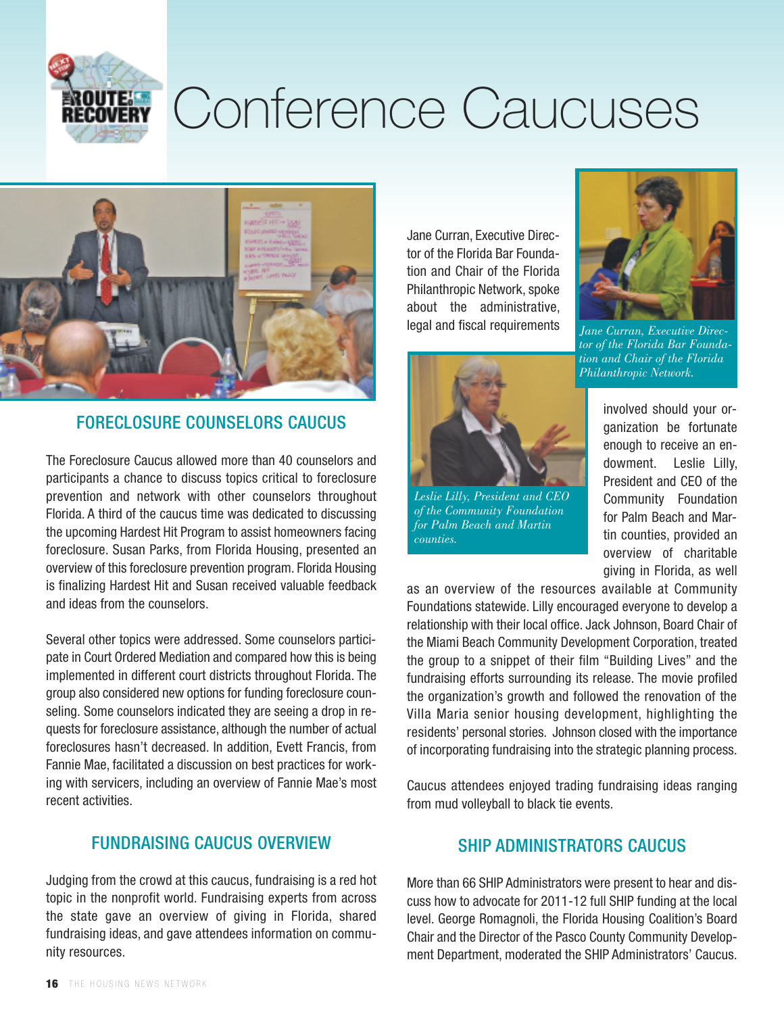

# Conference Caucuses



## FORECLOSURE COUNSELORS CAUCUS

The Foreclosure Caucus allowed more than 40 counselors and participants a chance to discuss topics critical to foreclosure prevention and network with other counselors throughout Florida. A third of the caucus time was dedicated to discussing the upcoming Hardest Hit Program to assist homeowners facing foreclosure. Susan Parks, from Florida Housing, presented an overview of this foreclosure prevention program. Florida Housing is finalizing Hardest Hit and Susan received valuable feedback and ideas from the counselors.

Several other topics were addressed. Some counselors participate in Court Ordered Mediation and compared how this is being implemented in different court districts throughout Florida. The group also considered new options for funding foreclosure counseling. Some counselors indicated they are seeing a drop in requests for foreclosure assistance, although the number of actual foreclosures hasn't decreased. In addition, Evett Francis, from Fannie Mae, facilitated a discussion on best practices for working with servicers, including an overview of Fannie Mae's most recent activities.

## FUNDRAISING CAUCUS OVERVIEW

Judging from the crowd at this caucus, fundraising is a red hot topic in the nonprofit world. Fundraising experts from across the state gave an overview of giving in Florida, shared fundraising ideas, and gave attendees information on community resources.

Jane Curran, Executive Director of the Florida Bar Foundation and Chair of the Florida Philanthropic Network, spoke about the administrative, legal and fiscal requirements



*Jane Curran, Executive Director of the Florida Bar Foundation and Chair of the Florida Philanthropic Network.*



*Leslie Lilly, President and CEO of the Community Foundation for Palm Beach and Martin counties.*

involved should your organization be fortunate enough to receive an endowment. Leslie Lilly, President and CEO of the Community Foundation for Palm Beach and Martin counties, provided an overview of charitable giving in Florida, as well

as an overview of the resources available at Community Foundations statewide. Lilly encouraged everyone to develop a relationship with their local office. Jack Johnson, Board Chair of the Miami Beach Community Development Corporation, treated the group to a snippet of their film "Building Lives" and the fundraising efforts surrounding its release. The movie profiled the organization's growth and followed the renovation of the Villa Maria senior housing development, highlighting the residents' personal stories. Johnson closed with the importance of incorporating fundraising into the strategic planning process.

Caucus attendees enjoyed trading fundraising ideas ranging from mud volleyball to black tie events.

## SHIP ADMINISTRATORS CAUCUS

More than 66 SHIP Administrators were present to hear and discuss how to advocate for 2011-12 full SHIP funding at the local level. George Romagnoli, the Florida Housing Coalition's Board Chair and the Director of the Pasco County Community Development Department, moderated the SHIP Administrators' Caucus.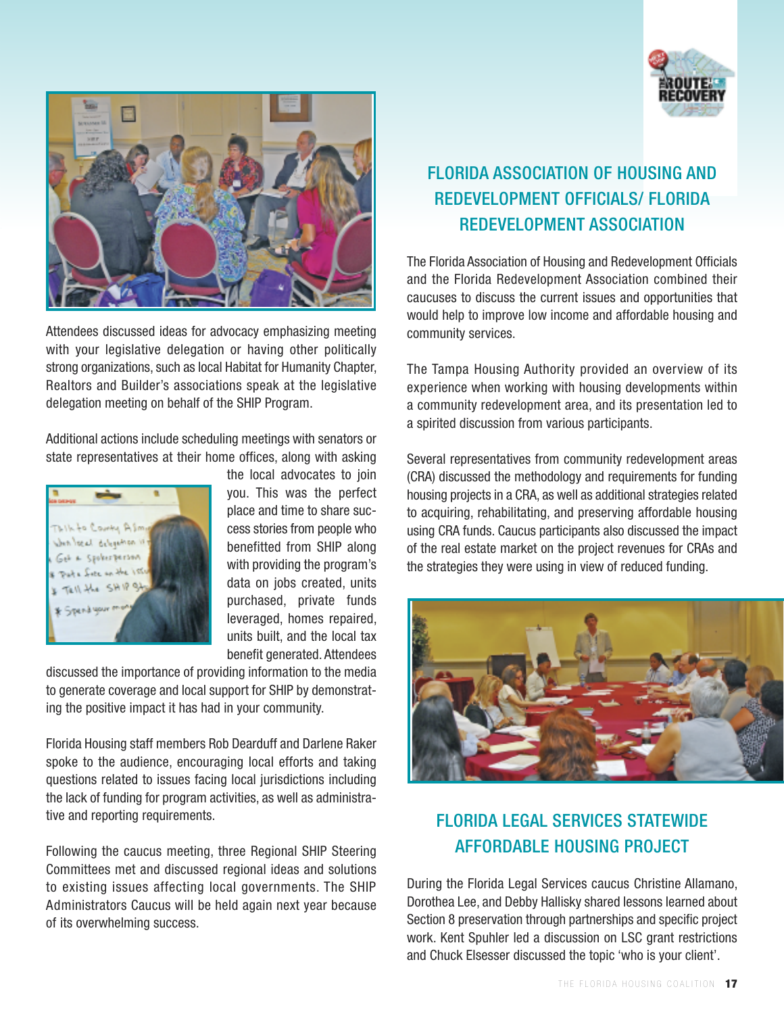



Attendees discussed ideas for advocacy emphasizing meeting with your legislative delegation or having other politically strong organizations, such as local Habitat for Humanity Chapter, Realtors and Builder's associations speak at the legislative delegation meeting on behalf of the SHIP Program.

Additional actions include scheduling meetings with senators or state representatives at their home offices, along with asking



the local advocates to join you. This was the perfect place and time to share success stories from people who benefitted from SHIP along with providing the program's data on jobs created, units purchased, private funds leveraged, homes repaired, units built, and the local tax benefit generated. Attendees

discussed the importance of providing information to the media to generate coverage and local support for SHIP by demonstrating the positive impact it has had in your community.

Florida Housing staff members Rob Dearduff and Darlene Raker spoke to the audience, encouraging local efforts and taking questions related to issues facing local jurisdictions including the lack of funding for program activities, as well as administrative and reporting requirements.

Following the caucus meeting, three Regional SHIP Steering Committees met and discussed regional ideas and solutions to existing issues affecting local governments. The SHIP Administrators Caucus will be held again next year because of its overwhelming success.

# FLORIDA ASSOCIATION OF HOUSING AND REDEVELOPMENT OFFICIALS/ FLORIDA REDEVELOPMENT ASSOCIATION

The Florida Association of Housing and Redevelopment Officials and the Florida Redevelopment Association combined their caucuses to discuss the current issues and opportunities that would help to improve low income and affordable housing and community services.

The Tampa Housing Authority provided an overview of its experience when working with housing developments within a community redevelopment area, and its presentation led to a spirited discussion from various participants.

Several representatives from community redevelopment areas (CRA) discussed the methodology and requirements for funding housing projects in a CRA, as well as additional strategies related to acquiring, rehabilitating, and preserving affordable housing using CRA funds. Caucus participants also discussed the impact of the real estate market on the project revenues for CRAs and the strategies they were using in view of reduced funding.



## FLORIDA LEGAL SERVICES STATEWIDE AFFORDABLE HOUSING PROJECT

During the Florida Legal Services caucus Christine Allamano, Dorothea Lee, and Debby Hallisky shared lessons learned about Section 8 preservation through partnerships and specific project work. Kent Spuhler led a discussion on LSC grant restrictions and Chuck Elsesser discussed the topic 'who is your client'.